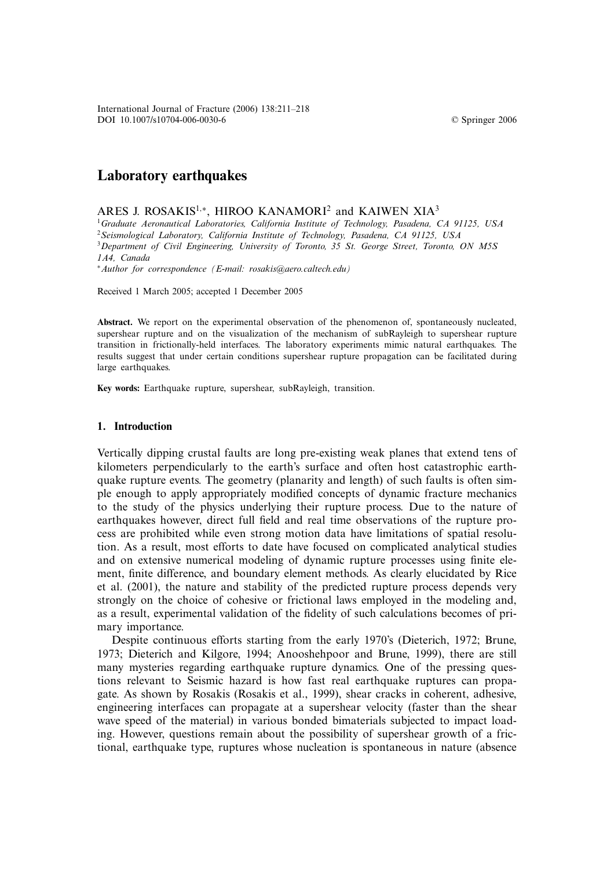© Springer 2006

# **Laboratory earthquakes**

ARES J. ROSAKIS<sup>1,\*</sup>, HIROO KANAMORI<sup>2</sup> and KAIWEN XIA<sup>3</sup>

<sup>1</sup>*Graduate Aeronautical Laboratories, California Institute of Technology, Pasadena, CA 91125, USA* <sup>2</sup>*Seismological Laboratory, California Institute of Technology, Pasadena, CA 91125, USA* <sup>3</sup>*Department of Civil Engineering, University of Toronto, 35 St. George Street, Toronto, ON M5S*

*1A4, Canada*

<sup>∗</sup>*Author for correspondence (E-mail: rosakis@aero.caltech.edu)*

Received 1 March 2005; accepted 1 December 2005

**Abstract.** We report on the experimental observation of the phenomenon of, spontaneously nucleated, supershear rupture and on the visualization of the mechanism of subRayleigh to supershear rupture transition in frictionally-held interfaces. The laboratory experiments mimic natural earthquakes. The results suggest that under certain conditions supershear rupture propagation can be facilitated during large earthquakes.

**Key words:** Earthquake rupture, supershear, subRayleigh, transition.

### **1. Introduction**

Vertically dipping crustal faults are long pre-existing weak planes that extend tens of kilometers perpendicularly to the earth's surface and often host catastrophic earthquake rupture events. The geometry (planarity and length) of such faults is often simple enough to apply appropriately modified concepts of dynamic fracture mechanics to the study of the physics underlying their rupture process. Due to the nature of earthquakes however, direct full field and real time observations of the rupture process are prohibited while even strong motion data have limitations of spatial resolution. As a result, most efforts to date have focused on complicated analytical studies and on extensive numerical modeling of dynamic rupture processes using finite element, finite difference, and boundary element methods. As clearly elucidated by Rice et al. (2001), the nature and stability of the predicted rupture process depends very strongly on the choice of cohesive or frictional laws employed in the modeling and, as a result, experimental validation of the fidelity of such calculations becomes of primary importance.

Despite continuous efforts starting from the early 1970's (Dieterich, 1972; Brune, 1973; Dieterich and Kilgore, 1994; Anooshehpoor and Brune, 1999), there are still many mysteries regarding earthquake rupture dynamics. One of the pressing questions relevant to Seismic hazard is how fast real earthquake ruptures can propagate. As shown by Rosakis (Rosakis et al., 1999), shear cracks in coherent, adhesive, engineering interfaces can propagate at a supershear velocity (faster than the shear wave speed of the material) in various bonded bimaterials subjected to impact loading. However, questions remain about the possibility of supershear growth of a frictional, earthquake type, ruptures whose nucleation is spontaneous in nature (absence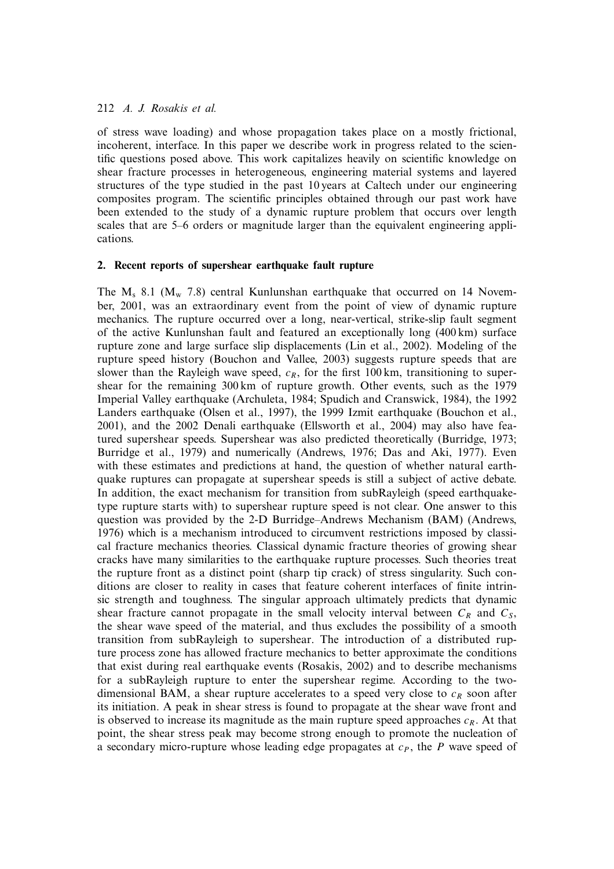# 212 *A. J. Rosakis et al.*

of stress wave loading) and whose propagation takes place on a mostly frictional, incoherent, interface. In this paper we describe work in progress related to the scientific questions posed above. This work capitalizes heavily on scientific knowledge on shear fracture processes in heterogeneous, engineering material systems and layered structures of the type studied in the past 10 years at Caltech under our engineering composites program. The scientific principles obtained through our past work have been extended to the study of a dynamic rupture problem that occurs over length scales that are 5–6 orders or magnitude larger than the equivalent engineering applications.

# **2. Recent reports of supershear earthquake fault rupture**

The  $M_s$  8.1 ( $M_w$  7.8) central Kunlunshan earthquake that occurred on 14 November, 2001, was an extraordinary event from the point of view of dynamic rupture mechanics. The rupture occurred over a long, near-vertical, strike-slip fault segment of the active Kunlunshan fault and featured an exceptionally long (400 km) surface rupture zone and large surface slip displacements (Lin et al., 2002). Modeling of the rupture speed history (Bouchon and Vallee, 2003) suggests rupture speeds that are slower than the Rayleigh wave speed,  $c_R$ , for the first 100 km, transitioning to supershear for the remaining 300 km of rupture growth. Other events, such as the 1979 Imperial Valley earthquake (Archuleta, 1984; Spudich and Cranswick, 1984), the 1992 Landers earthquake (Olsen et al., 1997), the 1999 Izmit earthquake (Bouchon et al., 2001), and the 2002 Denali earthquake (Ellsworth et al., 2004) may also have featured supershear speeds. Supershear was also predicted theoretically (Burridge, 1973; Burridge et al., 1979) and numerically (Andrews, 1976; Das and Aki, 1977). Even with these estimates and predictions at hand, the question of whether natural earthquake ruptures can propagate at supershear speeds is still a subject of active debate. In addition, the exact mechanism for transition from subRayleigh (speed earthquaketype rupture starts with) to supershear rupture speed is not clear. One answer to this question was provided by the 2-D Burridge–Andrews Mechanism (BAM) (Andrews, 1976) which is a mechanism introduced to circumvent restrictions imposed by classical fracture mechanics theories. Classical dynamic fracture theories of growing shear cracks have many similarities to the earthquake rupture processes. Such theories treat the rupture front as a distinct point (sharp tip crack) of stress singularity. Such conditions are closer to reality in cases that feature coherent interfaces of finite intrinsic strength and toughness. The singular approach ultimately predicts that dynamic shear fracture cannot propagate in the small velocity interval between  $C_R$  and  $C_S$ , the shear wave speed of the material, and thus excludes the possibility of a smooth transition from subRayleigh to supershear. The introduction of a distributed rupture process zone has allowed fracture mechanics to better approximate the conditions that exist during real earthquake events (Rosakis, 2002) and to describe mechanisms for a subRayleigh rupture to enter the supershear regime. According to the twodimensional BAM, a shear rupture accelerates to a speed very close to  $c_R$  soon after its initiation. A peak in shear stress is found to propagate at the shear wave front and is observed to increase its magnitude as the main rupture speed approaches  $c_R$ . At that point, the shear stress peak may become strong enough to promote the nucleation of a secondary micro-rupture whose leading edge propagates at  $c_P$ , the P wave speed of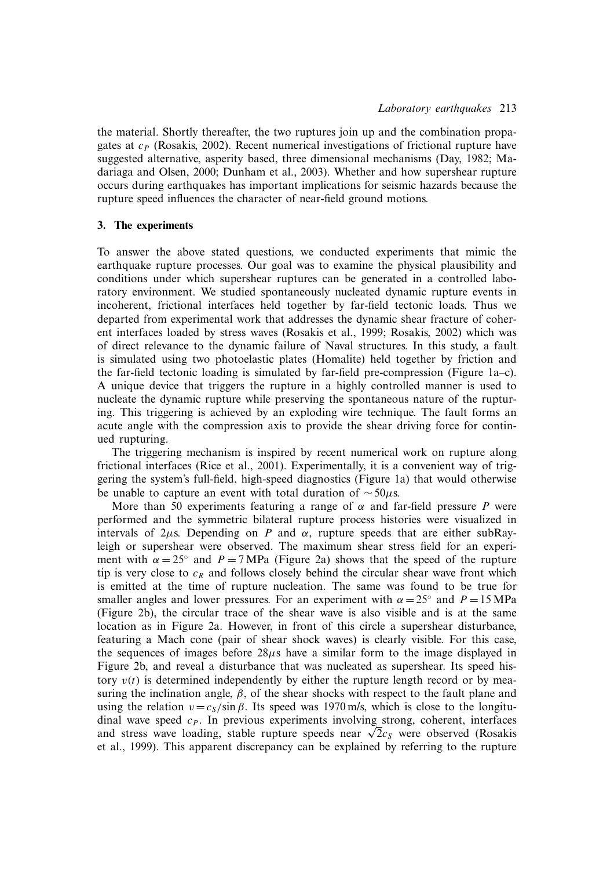the material. Shortly thereafter, the two ruptures join up and the combination propagates at  $c_P$  (Rosakis, 2002). Recent numerical investigations of frictional rupture have suggested alternative, asperity based, three dimensional mechanisms (Day, 1982; Madariaga and Olsen, 2000; Dunham et al., 2003). Whether and how supershear rupture occurs during earthquakes has important implications for seismic hazards because the rupture speed influences the character of near-field ground motions.

# **3. The experiments**

To answer the above stated questions, we conducted experiments that mimic the earthquake rupture processes. Our goal was to examine the physical plausibility and conditions under which supershear ruptures can be generated in a controlled laboratory environment. We studied spontaneously nucleated dynamic rupture events in incoherent, frictional interfaces held together by far-field tectonic loads. Thus we departed from experimental work that addresses the dynamic shear fracture of coherent interfaces loaded by stress waves (Rosakis et al., 1999; Rosakis, 2002) which was of direct relevance to the dynamic failure of Naval structures. In this study, a fault is simulated using two photoelastic plates (Homalite) held together by friction and the far-field tectonic loading is simulated by far-field pre-compression (Figure 1a–c). A unique device that triggers the rupture in a highly controlled manner is used to nucleate the dynamic rupture while preserving the spontaneous nature of the rupturing. This triggering is achieved by an exploding wire technique. The fault forms an acute angle with the compression axis to provide the shear driving force for continued rupturing.

The triggering mechanism is inspired by recent numerical work on rupture along frictional interfaces (Rice et al., 2001). Experimentally, it is a convenient way of triggering the system's full-field, high-speed diagnostics (Figure 1a) that would otherwise be unable to capture an event with total duration of  $\sim$ 50 $\mu$ s.

More than 50 experiments featuring a range of  $\alpha$  and far-field pressure *P* were performed and the symmetric bilateral rupture process histories were visualized in intervals of  $2\mu$ s. Depending on *P* and  $\alpha$ , rupture speeds that are either subRayleigh or supershear were observed. The maximum shear stress field for an experiment with  $\alpha = 25^{\circ}$  and  $P = 7 \text{ MPa}$  (Figure 2a) shows that the speed of the rupture tip is very close to  $c_R$  and follows closely behind the circular shear wave front which is emitted at the time of rupture nucleation. The same was found to be true for smaller angles and lower pressures. For an experiment with  $\alpha = 25^\circ$  and  $P = 15 \text{ MPa}$ (Figure 2b), the circular trace of the shear wave is also visible and is at the same location as in Figure 2a. However, in front of this circle a supershear disturbance, featuring a Mach cone (pair of shear shock waves) is clearly visible. For this case, the sequences of images before  $28\mu s$  have a similar form to the image displayed in Figure 2b, and reveal a disturbance that was nucleated as supershear. Its speed history  $v(t)$  is determined independently by either the rupture length record or by measuring the inclination angle,  $\beta$ , of the shear shocks with respect to the fault plane and using the relation  $v = c_s / \sin \beta$ . Its speed was 1970 m/s, which is close to the longitudinal wave speed  $c_P$ . In previous experiments involving strong, coherent, interfaces and stress wave loading, stable rupture speeds near  $\sqrt{2}c_s$  were observed (Rosakis et al., 1999). This apparent discrepancy can be explained by referring to the rupture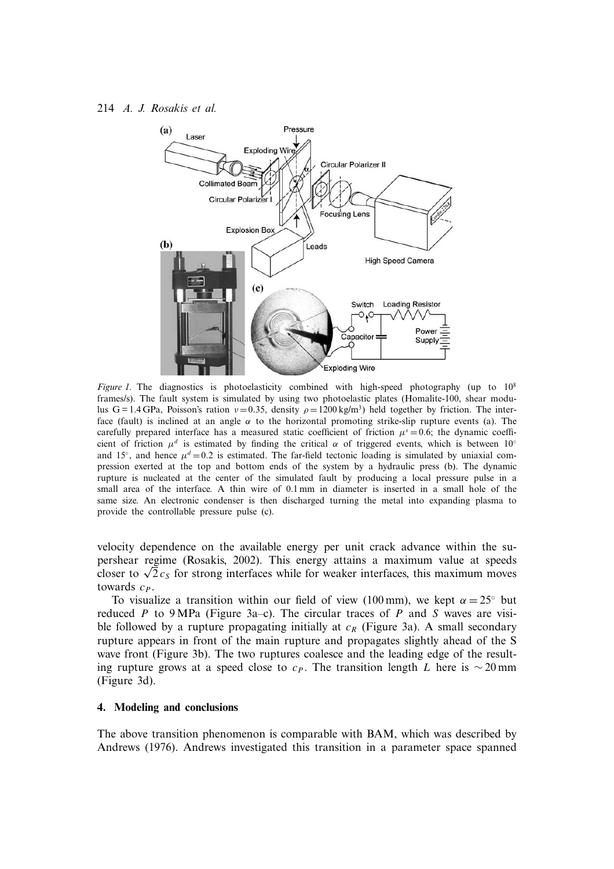

*Figure 1.* The diagnostics is photoelasticity combined with high-speed photography (up to  $10^8$ frames/s). The fault system is simulated by using two photoelastic plates (Homalite-100, shear modulus G = 1.4 GPa, Poisson's ration  $v = 0.35$ , density  $\rho = 1200 \text{ kg/m}^3$ ) held together by friction. The interface (fault) is inclined at an angle  $\alpha$  to the horizontal promoting strike-slip rupture events (a). The carefully prepared interface has a measured static coefficient of friction  $\mu^s = 0.6$ ; the dynamic coefficient of friction  $\mu^d$  is estimated by finding the critical  $\alpha$  of triggered events, which is between 10° and 15°, and hence  $\mu^d = 0.2$  is estimated. The far-field tectonic loading is simulated by uniaxial compression exerted at the top and bottom ends of the system by a hydraulic press (b). The dynamic rupture is nucleated at the center of the simulated fault by producing a local pressure pulse in a small area of the interface. A thin wire of 0.1 mm in diameter is inserted in a small hole of the same size. An electronic condenser is then discharged turning the metal into expanding plasma to provide the controllable pressure pulse (c).

velocity dependence on the available energy per unit crack advance within the supershear regime (Rosakis, 2002). This energy attains a maximum value at speeds closer to  $\sqrt{2}c_s$  for strong interfaces while for weaker interfaces, this maximum moves towards  $c_P$ .

To visualize a transition within our field of view (100 mm), we kept  $\alpha = 25^\circ$  but reduced P to 9 MPa (Figure 3a–c). The circular traces of P and S waves are visible followed by a rupture propagating initially at  $c_R$  (Figure 3a). A small secondary rupture appears in front of the main rupture and propagates slightly ahead of the S wave front (Figure 3b). The two ruptures coalesce and the leading edge of the resulting rupture grows at a speed close to  $c_P$ . The transition length L here is ∼ 20 mm (Figure 3d).

# **4. Modeling and conclusions**

The above transition phenomenon is comparable with BAM, which was described by Andrews (1976). Andrews investigated this transition in a parameter space spanned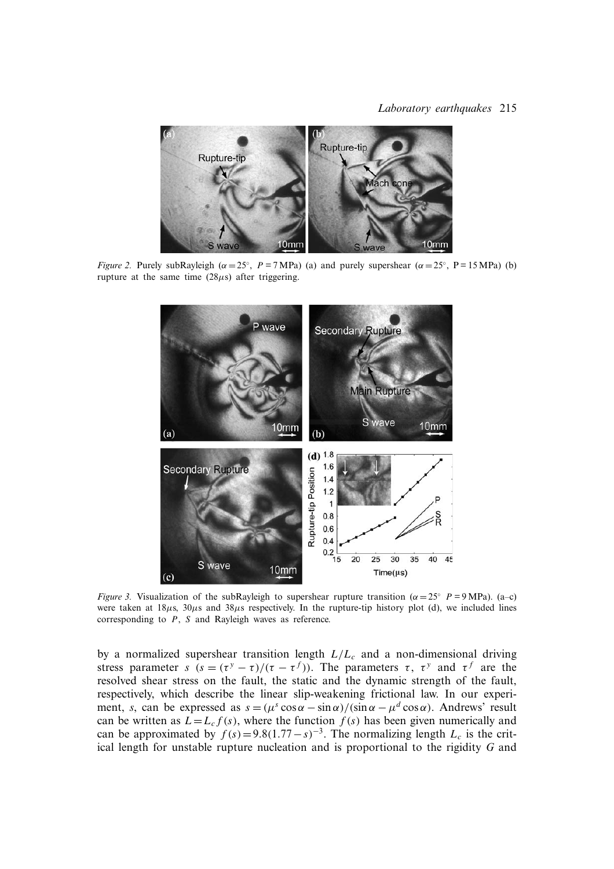#### *Laboratory earthquakes* 215



*Figure 2.* Purely subRayleigh ( $\alpha = 25^\circ$ ,  $P = 7 \text{ MPa}$ ) (a) and purely supershear ( $\alpha = 25^\circ$ , P = 15 MPa) (b) rupture at the same time  $(28\mu s)$  after triggering.



*Figure 3.* Visualization of the subRayleigh to supershear rupture transition ( $\alpha = 25^\circ$  P = 9 MPa). (a–c) were taken at  $18\mu s$ ,  $30\mu s$  and  $38\mu s$  respectively. In the rupture-tip history plot (d), we included lines corresponding to P, S and Rayleigh waves as reference.

by a normalized supershear transition length  $L/L_c$  and a non-dimensional driving stress parameter *s*  $(s = (\tau^y - \tau)/(\tau - \tau^f))$ . The parameters  $\tau$ ,  $\tau^y$  and  $\tau^f$  are the resolved shear stress on the fault, the static and the dynamic strength of the fault, respectively, which describe the linear slip-weakening frictional law. In our experiment, *s*, can be expressed as  $s = (\mu^s \cos \alpha - \sin \alpha)/(\sin \alpha - \mu^d \cos \alpha)$ . Andrews' result can be written as  $L = L_c f(s)$ , where the function  $f(s)$  has been given numerically and can be approximated by  $f(s)=9.8(1.77-s)^{-3}$ . The normalizing length  $L_c$  is the critical length for unstable rupture nucleation and is proportional to the rigidity *G* and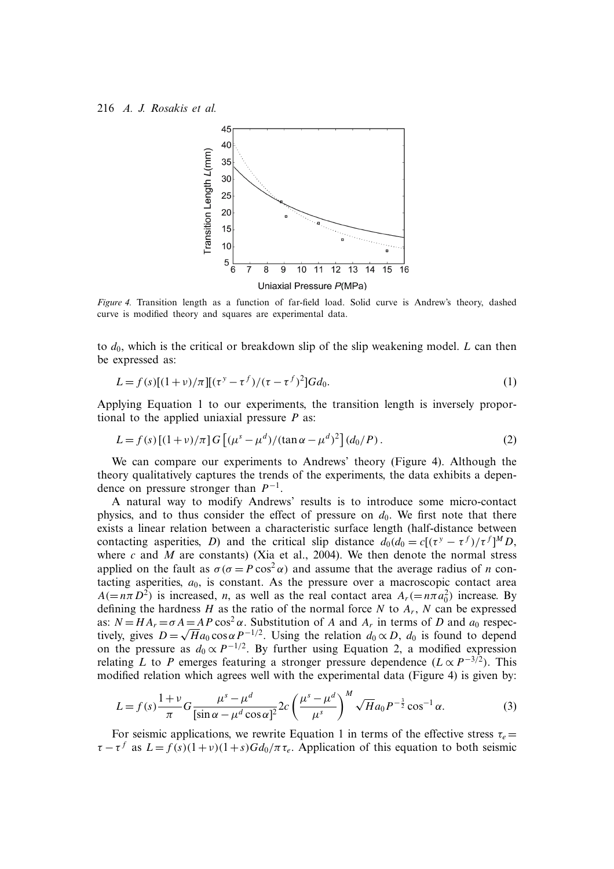

*Figure 4.* Transition length as a function of far-field load. Solid curve is Andrew's theory, dashed curve is modified theory and squares are experimental data.

to  $d_0$ , which is the critical or breakdown slip of the slip weakening model. L can then be expressed as:

$$
L = f(s)[(1+v)/\pi][(\tau^y - \tau^f)/(\tau - \tau^f)^2]Gd_0.
$$
\n(1)

Applying Equation 1 to our experiments, the transition length is inversely proportional to the applied uniaxial pressure *P* as:

$$
L = f(s) \left[ (1+v)/\pi \right] G \left[ (\mu^s - \mu^d) / (\tan \alpha - \mu^d)^2 \right] (d_0/P).
$$
 (2)

We can compare our experiments to Andrews' theory (Figure 4). Although the theory qualitatively captures the trends of the experiments, the data exhibits a dependence on pressure stronger than  $P^{-1}$ .

A natural way to modify Andrews' results is to introduce some micro-contact physics, and to thus consider the effect of pressure on  $d_0$ . We first note that there exists a linear relation between a characteristic surface length (half-distance between contacting asperities, *D*) and the critical slip distance  $d_0(d_0) = c[(\tau^y - \tau^f)/\tau^f]^M D$ , where  $c$  and  $M$  are constants) (Xia et al., 2004). We then denote the normal stress applied on the fault as  $\sigma(\sigma = P \cos^2 \alpha)$  and assume that the average radius of *n* contacting asperities,  $a_0$ , is constant. As the pressure over a macroscopic contact area  $A(=n\pi D^2)$  is increased, *n*, as well as the real contact area  $A_r(=n\pi a_0^2)$  increase. By defining the hardness H as the ratio of the normal force N to  $A_r$ , N can be expressed as:  $N = HA_r = \sigma A = AP \cos^2 \alpha$ . Substitution of A and  $A_r$  in terms of D and  $a_0$  respectively, gives  $D = \sqrt{H} a_0 \cos \alpha P^{-1/2}$ . Using the relation  $d_0 \propto D$ ,  $d_0$  is found to depend on the pressure as  $d_0 \propto P^{-1/2}$ . By further using Equation 2, a modified expression relating *L* to *P* emerges featuring a stronger pressure dependence ( $L \propto P^{-3/2}$ ). This modified relation which agrees well with the experimental data (Figure 4) is given by:

$$
L = f(s) \frac{1+v}{\pi} G \frac{\mu^s - \mu^d}{[\sin \alpha - \mu^d \cos \alpha]^2} 2c \left( \frac{\mu^s - \mu^d}{\mu^s} \right)^M \sqrt{H} a_0 P^{-\frac{3}{2}} \cos^{-1} \alpha.
$$
 (3)

For seismic applications, we rewrite Equation 1 in terms of the effective stress  $\tau_e$  =  $\tau - \tau^f$  as  $L = f(s)(1+v)(1+s)Gd_0/\pi\tau_e$ . Application of this equation to both seismic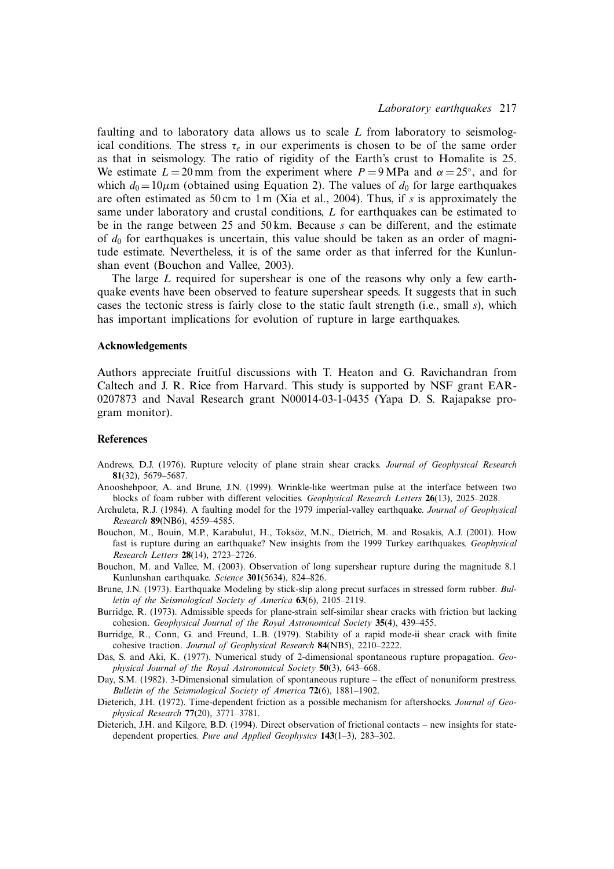faulting and to laboratory data allows us to scale *L* from laboratory to seismological conditions. The stress  $\tau_e$  in our experiments is chosen to be of the same order as that in seismology. The ratio of rigidity of the Earth's crust to Homalite is 25. We estimate  $L=20$  mm from the experiment where  $P = 9$  MPa and  $\alpha = 25^\circ$ , and for which  $d_0 = 10 \mu$ m (obtained using Equation 2). The values of  $d_0$  for large earthquakes are often estimated as 50 cm to 1 m (Xia et al., 2004). Thus, if *s* is approximately the same under laboratory and crustal conditions, L for earthquakes can be estimated to be in the range between 25 and 50 km. Because *s* can be different, and the estimate of  $d_0$  for earthquakes is uncertain, this value should be taken as an order of magnitude estimate. Nevertheless, it is of the same order as that inferred for the Kunlunshan event (Bouchon and Vallee, 2003).

The large *L* required for supershear is one of the reasons why only a few earthquake events have been observed to feature supershear speeds. It suggests that in such cases the tectonic stress is fairly close to the static fault strength (i.e., small *s*), which has important implications for evolution of rupture in large earthquakes.

# **Acknowledgements**

Authors appreciate fruitful discussions with T. Heaton and G. Ravichandran from Caltech and J. R. Rice from Harvard. This study is supported by NSF grant EAR-0207873 and Naval Research grant N00014-03-1-0435 (Yapa D. S. Rajapakse program monitor).

#### **References**

- Andrews, D.J. (1976). Rupture velocity of plane strain shear cracks. *Journal of Geophysical Research* **81**(32), 5679–5687.
- Anooshehpoor, A. and Brune, J.N. (1999). Wrinkle-like weertman pulse at the interface between two blocks of foam rubber with different velocities. *Geophysical Research Letters* **26**(13), 2025–2028.
- Archuleta, R.J. (1984). A faulting model for the 1979 imperial-valley earthquake. *Journal of Geophysical Research* **89**(NB6), 4559–4585.
- Bouchon, M., Bouin, M.P., Karabulut, H., Toksöz, M.N., Dietrich, M. and Rosakis, A.J. (2001). How fast is rupture during an earthquake? New insights from the 1999 Turkey earthquakes. *Geophysical Research Letters* **28**(14), 2723–2726.
- Bouchon, M. and Vallee, M. (2003). Observation of long supershear rupture during the magnitude 8.1 Kunlunshan earthquake. *Science* **301**(5634), 824–826.
- Brune, J.N. (1973). Earthquake Modeling by stick-slip along precut surfaces in stressed form rubber. *Bulletin of the Seismological Society of America* **63**(6), 2105–2119.
- Burridge, R. (1973). Admissible speeds for plane-strain self-similar shear cracks with friction but lacking cohesion. *Geophysical Journal of the Royal Astronomical Society* **35**(4), 439–455.
- Burridge, R., Conn, G. and Freund, L.B. (1979). Stability of a rapid mode-ii shear crack with finite cohesive traction. *Journal of Geophysical Research* **84**(NB5), 2210–2222.
- Das, S. and Aki, K. (1977). Numerical study of 2-dimensional spontaneous rupture propagation. *Geophysical Journal of the Royal Astronomical Society* **50**(3), 643–668.
- Day, S.M. (1982). 3-Dimensional simulation of spontaneous rupture the effect of nonuniform prestress. *Bulletin of the Seismological Society of America* **72**(6), 1881–1902.
- Dieterich, J.H. (1972). Time-dependent friction as a possible mechanism for aftershocks. *Journal of Geophysical Research* **77**(20), 3771–3781.
- Dieterich, J.H. and Kilgore, B.D. (1994). Direct observation of frictional contacts new insights for statedependent properties. *Pure and Applied Geophysics* **143**(1–3), 283–302.